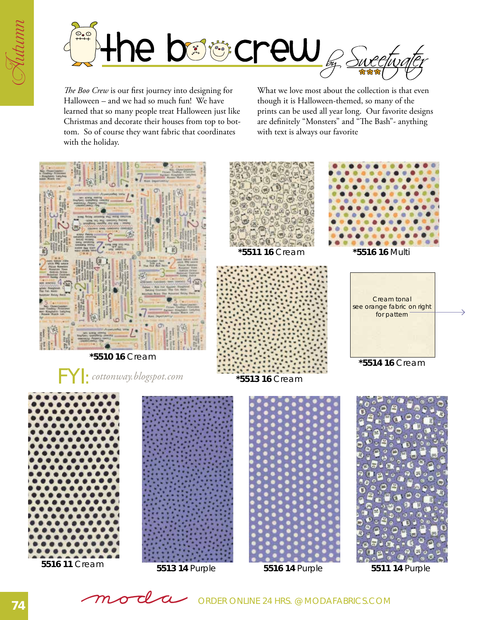



*The Boo Crew* is our first journey into designing for Halloween – and we had so much fun! We have learned that so many people treat Halloween just like Christmas and decorate their houses from top to bottom. So of course they want fabric that coordinates with the holiday.

What we love most about the collection is that even though it is Halloween-themed, so many of the prints can be used all year long. Our favorite designs are definitely "Monsters" and "The Bash"- anything with text is always our favorite

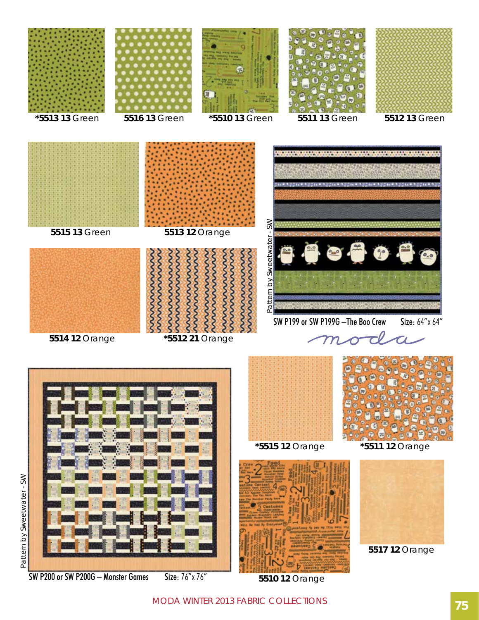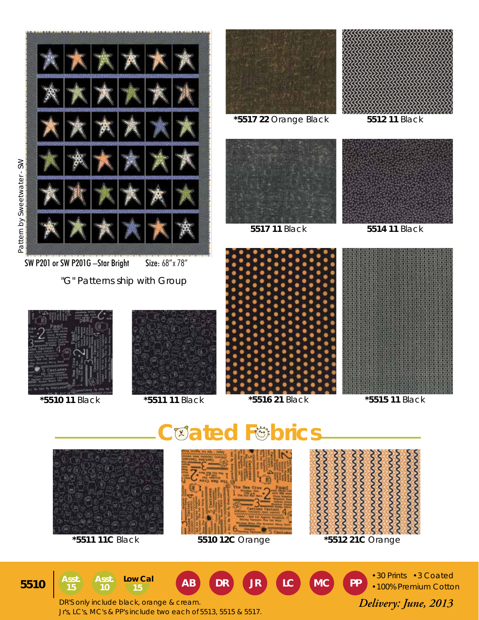





**NNNNN** wwwww wwwwww  $\infty$  $\sim$ 

**\*5511 11C** Black **5510 12C** Orange **\*5512 21C** Orange

•30 Prints •3 Coated •100% Premium Cotton

Asst.)  $\begin{array}{|c|c|c|c|c|c|c|c|c|} \hline \text{As} & \text{Low Cal} & \text{AB} & \text{DR} & \text{JR} & \text{LC} & \text{MC} & \text{PP} \ \hline \text{15} & \text{10} & \text{15} & \text{AB} & \text{DR} & \text{J} \end{array}$ **15 Asst. 10 15 Low Cal Low Cal Low Cal Low Cal Low Cal Low Cal Low Cal** 

 *Delivery: June, 2013* DR'S only include black, orange & cream. Jr's, LC's, MC's & PP's include two each of 5513, 5515 & 5517.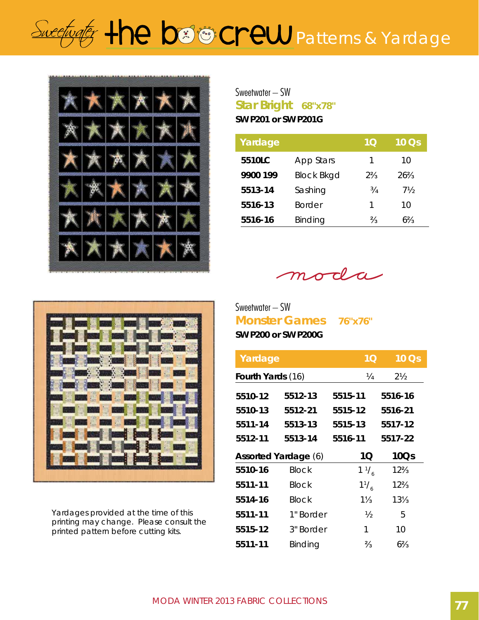## Sweetingter the boot crew patterns & Yardage



**Star Bright 68"x78"** Sweetwater – SW **SW P201 or SW P201G**

| Yardage  |                   | 1Q             | $10$ $\overline{\text{Os}}$ |
|----------|-------------------|----------------|-----------------------------|
| 5510LC   | App Stars         | 1              | 10                          |
| 9900 199 | <b>Block Bkgd</b> | $2\frac{2}{3}$ | $26\frac{2}{3}$             |
| 5513-14  | Sashing           | 3/4            | 7½                          |
| 5516-13  | <b>Border</b>     | 1              | 10                          |
| 5516-16  | Binding           | $\frac{2}{3}$  | 63⁄2                        |

oda  $m$ 

**Monster Games 76"x76"** Sweetwater – SW **SW P200 or SW P200G**

| Yardage                  |                             | 1 <sub>O</sub> | 10Qs            |
|--------------------------|-----------------------------|----------------|-----------------|
| <b>Fourth Yards (16)</b> |                             | 1⁄4            | $2\frac{1}{2}$  |
| 5510-12                  | 5512-13                     | 5515-11        | 5516-16         |
| 5510-13                  | 5512-21                     | 5515-12        | 5516-21         |
| 5511-14                  | 5513-13                     | 5515-13        | 5517-12         |
| 5512-11                  | 5513-14                     | 5516-11        | 5517-22         |
|                          |                             |                |                 |
|                          | <b>Assorted Yardage (6)</b> | 1Q             | 10Qs            |
| 5510-16                  | <b>Block</b>                | $1\frac{1}{6}$ | $12\frac{2}{3}$ |
| 5511-11                  | Block                       | $1^{1}/_{6}$   | $12\frac{2}{3}$ |
| 5514-16                  | <b>Block</b>                | $1\frac{1}{3}$ | $13\frac{1}{3}$ |
| 5511-11                  | 1" Border                   | $\frac{1}{2}$  | 5               |
| 5515-12                  | 3" Border                   | 1              | 10              |



Yardages provided at the time of this printing may change. Please consult the printed pattern before cutting kits.